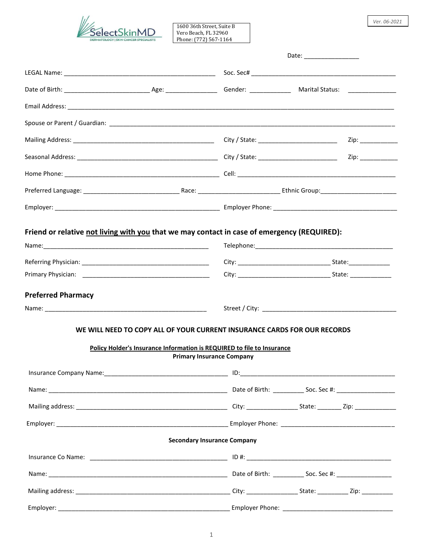

1600 36th Street, Suite B Vero Beach, FL 32960 Phone: (772) 567-1164

|                           |                                                                          | Zip: ___________ |
|---------------------------|--------------------------------------------------------------------------|------------------|
|                           |                                                                          |                  |
|                           |                                                                          |                  |
|                           |                                                                          |                  |
|                           |                                                                          |                  |
|                           |                                                                          |                  |
|                           |                                                                          |                  |
| <b>Preferred Pharmacy</b> |                                                                          |                  |
|                           |                                                                          |                  |
|                           | WE WILL NEED TO COPY ALL OF YOUR CURRENT INSURANCE CARDS FOR OUR RECORDS |                  |
|                           | Policy Holder's Insurance Information is REQUIRED to file to Insurance   |                  |
|                           | <b>Primary Insurance Company</b>                                         |                  |
|                           |                                                                          |                  |
|                           |                                                                          |                  |
|                           |                                                                          |                  |
|                           |                                                                          |                  |
|                           | <b>Secondary Insurance Company</b>                                       |                  |
|                           |                                                                          |                  |
|                           |                                                                          |                  |
|                           |                                                                          |                  |
|                           |                                                                          |                  |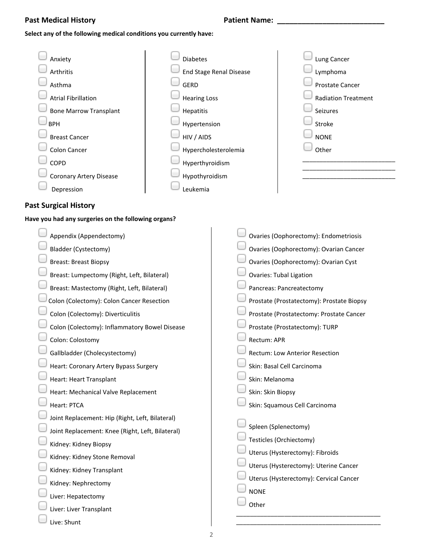## **Past Medical History Patient Name: \_\_\_\_\_\_\_\_\_\_\_\_\_\_\_\_\_\_\_\_\_\_\_\_\_\_**

### **Select any of the following medical conditions you currently have:**

| Anxiety                        | <b>Diabetes</b>                | Lung Cancer                |
|--------------------------------|--------------------------------|----------------------------|
| Arthritis                      | <b>End Stage Renal Disease</b> | Lymphoma                   |
| Asthma                         | <b>GERD</b>                    | <b>Prostate Cancer</b>     |
| <b>Atrial Fibrillation</b>     | <b>Hearing Loss</b>            | <b>Radiation Treatment</b> |
| <b>Bone Marrow Transplant</b>  | Hepatitis                      | Seizures                   |
| <b>BPH</b>                     | Hypertension                   | Stroke                     |
| <b>Breast Cancer</b>           | HIV / AIDS                     | <b>NONE</b>                |
| Colon Cancer                   | Hypercholesterolemia           | Other                      |
| <b>COPD</b>                    | Hyperthyroidism                |                            |
| <b>Coronary Artery Disease</b> | Hypothyroidism                 |                            |
| Depression                     | Leukemia                       |                            |

## **Past Surgical History**

#### **Have you had any surgeries on the following organs?**

| Appendix (Appendectomy)                          | Ovaries (Oophorectomy): Endometriosis     |
|--------------------------------------------------|-------------------------------------------|
| Bladder (Cystectomy)                             | Ovaries (Oophorectomy): Ovarian Cancer    |
| <b>Breast: Breast Biopsy</b>                     | Ovaries (Oophorectomy): Ovarian Cyst      |
| Breast: Lumpectomy (Right, Left, Bilateral)      | <b>Ovaries: Tubal Ligation</b>            |
| Breast: Mastectomy (Right, Left, Bilateral)      | Pancreas: Pancreatectomy                  |
| Colon (Colectomy): Colon Cancer Resection        | Prostate (Prostatectomy): Prostate Biopsy |
| Colon (Colectomy): Diverticulitis                | Prostate (Prostatectomy: Prostate Cancer  |
| Colon (Colectomy): Inflammatory Bowel Disease    | Prostate (Prostatectomy): TURP            |
| Colon: Colostomy                                 | Rectum: APR                               |
| Gallbladder (Cholecystectomy)                    | Rectum: Low Anterior Resection            |
| Heart: Coronary Artery Bypass Surgery            | Skin: Basal Cell Carcinoma                |
| Heart: Heart Transplant                          | Skin: Melanoma                            |
| Heart: Mechanical Valve Replacement              | Skin: Skin Biopsy                         |
| Heart: PTCA                                      | Skin: Squamous Cell Carcinoma             |
| Joint Replacement: Hip (Right, Left, Bilateral)  |                                           |
| Joint Replacement: Knee (Right, Left, Bilateral) | Spleen (Splenectomy)                      |
| Kidney: Kidney Biopsy                            | Testicles (Orchiectomy)                   |
| Kidney: Kidney Stone Removal                     | Uterus (Hysterectomy): Fibroids           |
| Kidney: Kidney Transplant                        | Uterus (Hysterectomy): Uterine Cancer     |
| Kidney: Nephrectomy                              | Uterus (Hysterectomy): Cervical Cancer    |
| Liver: Hepatectomy                               | <b>NONE</b>                               |
| Liver: Liver Transplant                          | Other                                     |
| Live: Shunt                                      |                                           |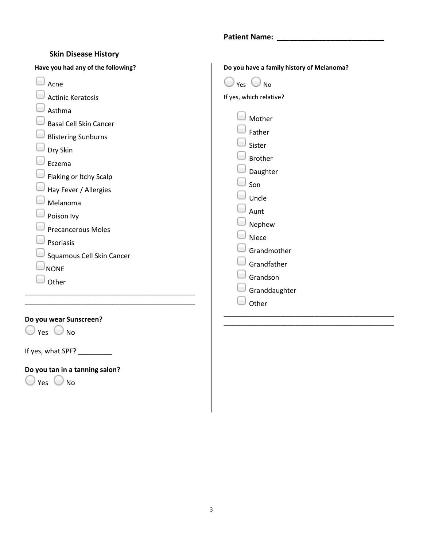## **Patient Name: \_\_\_\_\_\_\_\_\_\_\_\_\_\_\_\_\_\_\_\_\_\_\_\_\_\_**

| <b>Skin Disease History</b>                                                                                                                                                                                                                                                                                 |                                                                                                                                                                                                                        |
|-------------------------------------------------------------------------------------------------------------------------------------------------------------------------------------------------------------------------------------------------------------------------------------------------------------|------------------------------------------------------------------------------------------------------------------------------------------------------------------------------------------------------------------------|
| Have you had any of the following?                                                                                                                                                                                                                                                                          | Do you have a family history of Melanoma?                                                                                                                                                                              |
| Acne<br><b>Actinic Keratosis</b><br>Asthma<br><b>Basal Cell Skin Cancer</b><br><b>Blistering Sunburns</b><br>Dry Skin<br>Eczema<br>Flaking or Itchy Scalp<br>Hay Fever / Allergies<br>Melanoma<br>Poison Ivy<br><b>Precancerous Moles</b><br>Psoriasis<br>Squamous Cell Skin Cancer<br><b>NONE</b><br>Other | Yes $\bigcup$ No<br>If yes, which relative?<br>Mother<br>Father<br>Sister<br><b>Brother</b><br>Daughter<br>Son<br>Uncle<br>Aunt<br>Nephew<br>Niece<br>Grandmother<br>Grandfather<br>Grandson<br>Granddaughter<br>Other |
| Do you wear Sunscreen?                                                                                                                                                                                                                                                                                      |                                                                                                                                                                                                                        |

 $\bigcirc$  Yes  $\bigcirc$  No

If yes, what SPF? \_\_\_\_\_\_\_\_\_\_

**Do you tan in a tanning salon?**   $O$  Yes  $O$  No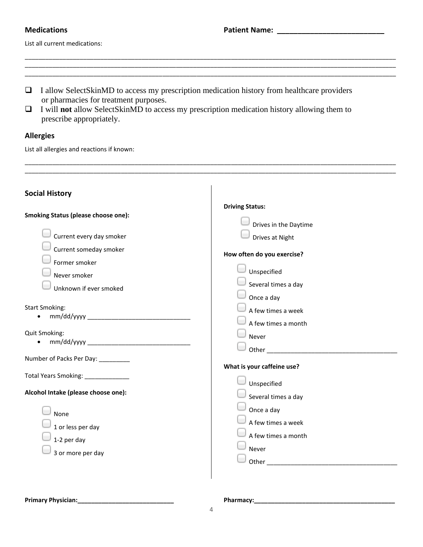List all current medications:

| $\Box$ I allow SelectSkinMD to access my prescription medication history from healthcare providers |
|----------------------------------------------------------------------------------------------------|
| or pharmacies for treatment purposes.                                                              |

\_\_\_\_\_\_\_\_\_\_\_\_\_\_\_\_\_\_\_\_\_\_\_\_\_\_\_\_\_\_\_\_\_\_\_\_\_\_\_\_\_\_\_\_\_\_\_\_\_\_\_\_\_\_\_\_\_\_\_\_\_\_\_\_\_\_\_\_\_\_\_\_\_\_\_\_\_\_\_\_\_\_\_\_\_\_\_\_\_\_\_\_\_\_\_\_\_\_\_\_\_\_\_\_\_\_\_\_  $\ldots$  . The contribution of the contribution of the contribution of the contribution of the contribution of the contribution of the contribution of the contribution of the contribution of the contribution of the contribut \_\_\_\_\_\_\_\_\_\_\_\_\_\_\_\_\_\_\_\_\_\_\_\_\_\_\_\_\_\_\_\_\_\_\_\_\_\_\_\_\_\_\_\_\_\_\_\_\_\_\_\_\_\_\_\_\_\_\_\_\_\_\_\_\_\_\_\_\_\_\_\_\_\_\_\_\_\_\_\_\_\_\_\_\_\_\_\_\_\_\_\_\_\_\_\_\_\_\_\_\_\_\_\_\_\_\_\_

\_\_\_\_\_\_\_\_\_\_\_\_\_\_\_\_\_\_\_\_\_\_\_\_\_\_\_\_\_\_\_\_\_\_\_\_\_\_\_\_\_\_\_\_\_\_\_\_\_\_\_\_\_\_\_\_\_\_\_\_\_\_\_\_\_\_\_\_\_\_\_\_\_\_\_\_\_\_\_\_\_\_\_\_\_\_\_\_\_\_\_\_\_\_\_\_\_\_\_\_\_\_\_\_\_\_\_\_

\_\_\_\_\_\_\_\_\_\_\_\_\_\_\_\_\_\_\_\_\_\_\_\_\_\_\_\_\_\_\_\_\_\_\_\_\_\_\_\_\_\_\_\_\_\_\_\_\_\_\_\_\_\_\_\_\_\_\_\_\_\_\_\_\_\_\_\_\_\_\_\_\_\_\_\_\_\_\_\_\_\_\_\_\_\_\_\_\_\_\_\_\_\_\_\_\_\_\_\_\_\_\_\_\_\_\_\_

❑ I will **not** allow SelectSkinMD to access my prescription medication history allowing them to prescribe appropriately.

## **Allergies**

List all allergies and reactions if known:

| <b>Driving Status:</b><br>Drives in the Daytime<br>Drives at Night<br>How often do you exercise?<br>Unspecified<br>Several times a day                                            |
|-----------------------------------------------------------------------------------------------------------------------------------------------------------------------------------|
| Once a day<br>A few times a week<br>A few times a month<br>Never<br>Other and the contract of the contract of the contract of the contract of the contract of the contract of the |
| What is your caffeine use?                                                                                                                                                        |
| Unspecified<br>Several times a day<br>Once a day<br>A few times a week<br>A few times a month<br>Never<br>Other                                                                   |
|                                                                                                                                                                                   |

 $\overline{\phantom{a}}$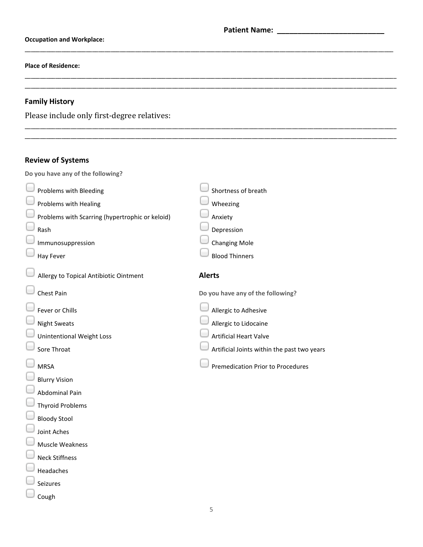\_\_\_\_\_\_\_\_\_\_\_\_\_\_\_\_\_\_\_\_\_\_\_\_\_\_\_\_\_\_\_\_\_\_\_\_\_\_\_\_\_\_\_\_\_\_\_\_\_\_\_\_\_\_\_\_\_\_\_\_\_\_\_\_\_\_\_\_\_\_\_\_\_\_\_\_\_\_\_\_\_\_\_\_\_\_\_\_\_\_\_\_\_\_\_\_\_\_\_\_\_\_\_\_\_\_\_\_\_\_\_\_\_\_\_\_\_\_\_\_

\_\_\_\_\_\_\_\_\_\_\_\_\_\_\_\_\_\_\_\_\_\_\_\_\_\_\_\_\_\_\_\_\_\_\_\_\_\_\_\_\_\_\_\_\_\_\_\_\_\_\_\_\_\_\_\_\_\_\_\_\_\_\_\_\_\_\_\_\_\_\_\_\_\_\_\_\_\_\_\_\_\_\_\_\_\_\_\_\_\_\_\_\_\_\_\_\_\_\_\_\_\_\_\_\_\_\_\_\_\_\_\_\_\_\_\_\_\_\_\_\_ \_\_\_\_\_\_\_\_\_\_\_\_\_\_\_\_\_\_\_\_\_\_\_\_\_\_\_\_\_\_\_\_\_\_\_\_\_\_\_\_\_\_\_\_\_\_\_\_\_\_\_\_\_\_\_\_\_\_\_\_\_\_\_\_\_\_\_\_\_\_\_\_\_\_\_\_\_\_\_\_\_\_\_\_\_\_\_\_\_\_\_\_\_\_\_\_\_\_\_\_\_\_\_\_\_\_\_\_\_\_\_\_\_\_\_\_\_\_\_\_\_

\_\_\_\_\_\_\_\_\_\_\_\_\_\_\_\_\_\_\_\_\_\_\_\_\_\_\_\_\_\_\_\_\_\_\_\_\_\_\_\_\_\_\_\_\_\_\_\_\_\_\_\_\_\_\_\_\_\_\_\_\_\_\_\_\_\_\_\_\_\_\_\_\_\_\_\_\_\_\_\_\_\_\_\_\_\_\_\_\_\_\_\_\_\_\_\_\_\_\_\_\_\_\_\_\_\_\_\_\_\_\_\_\_\_\_\_\_\_\_\_\_ \_\_\_\_\_\_\_\_\_\_\_\_\_\_\_\_\_\_\_\_\_\_\_\_\_\_\_\_\_\_\_\_\_\_\_\_\_\_\_\_\_\_\_\_\_\_\_\_\_\_\_\_\_\_\_\_\_\_\_\_\_\_\_\_\_\_\_\_\_\_\_\_\_\_\_\_\_\_\_\_\_\_\_\_\_\_\_\_\_\_\_\_\_\_\_\_\_\_\_\_\_\_\_\_\_\_\_\_\_\_\_\_\_\_\_\_\_\_\_\_\_

### **Occupation and Workplace:**

#### **Place of Residence:**

## **Family History**

Please include only first-degree relatives:

## **Review of Systems**

**Do you have any of the following?**

| Problems with Bleeding                          | Shortness of breath                         |
|-------------------------------------------------|---------------------------------------------|
| Problems with Healing                           | Wheezing                                    |
| Problems with Scarring (hypertrophic or keloid) | Anxiety                                     |
| Rash                                            | Depression                                  |
| Immunosuppression                               | <b>Changing Mole</b>                        |
| Hay Fever                                       | <b>Blood Thinners</b>                       |
| Allergy to Topical Antibiotic Ointment          | <b>Alerts</b>                               |
| Chest Pain                                      | Do you have any of the following?           |
| Fever or Chills                                 | Allergic to Adhesive                        |
| <b>Night Sweats</b>                             | Allergic to Lidocaine                       |
| <b>Unintentional Weight Loss</b>                | <b>Artificial Heart Valve</b>               |
| Sore Throat                                     | Artificial Joints within the past two years |
| <b>MRSA</b>                                     | <b>Premedication Prior to Procedures</b>    |
| <b>Blurry Vision</b>                            |                                             |
| <b>Abdominal Pain</b>                           |                                             |
| <b>Thyroid Problems</b>                         |                                             |
| <b>Bloody Stool</b>                             |                                             |
| Joint Aches                                     |                                             |
| <b>Muscle Weakness</b>                          |                                             |
| <b>Neck Stiffness</b>                           |                                             |
| Headaches                                       |                                             |
| Seizures                                        |                                             |
| Cough                                           |                                             |
|                                                 | 5                                           |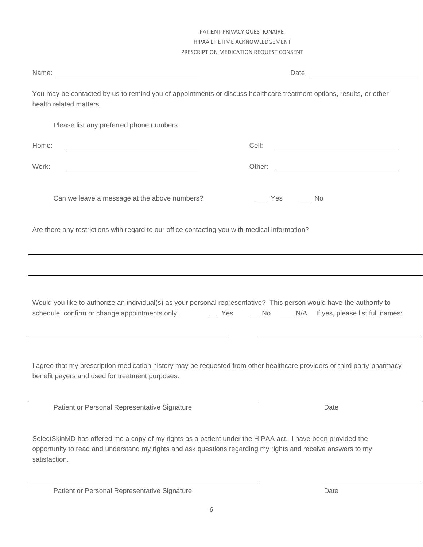You may be contacted by us to remind you of appointments or discuss healthcare treatment options, results, or other health related matters. Please list any preferred phone numbers: Home: Cell: Work: **Other:** Other: **Other: Other: Other: Other: Other: Other: Other: Other: Other: Other: Other: Other: Other: Other: Other: Other: Other: Other: Other: Other: Other: Other: O** Can we leave a message at the above numbers? The Most Can Wes No. Are there any restrictions with regard to our office contacting you with medical information? Would you like to authorize an individual(s) as your personal representative? This person would have the authority to schedule, confirm or change appointments only. <br>Yes No N/A If yes, please list full names: I agree that my prescription medication history may be requested from other healthcare providers or third party pharmacy benefit payers and used for treatment purposes. Patient or Personal Representative Signature **Date** Date Date SelectSkinMD has offered me a copy of my rights as a patient under the HIPAA act. I have been provided the opportunity to read and understand my rights and ask questions regarding my rights and receive answers to my satisfaction. Patient or Personal Representative Signature **Date** Date Date

## PATIENT PRIVACY QUESTIONAIRE HIPAA LIFETIME ACKNOWLEDGEMENT PRESCRIPTION MEDICATION REQUEST CONSENT

Name: Date: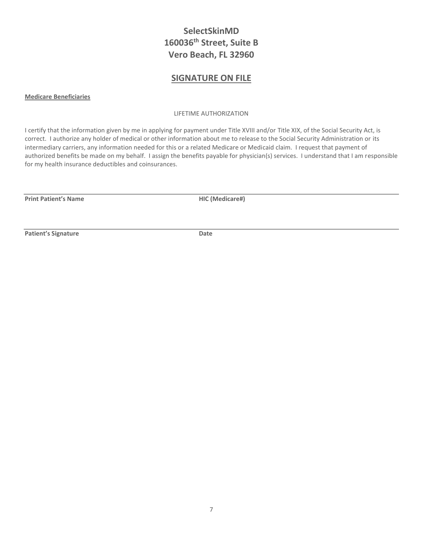# **SelectSkinMD 160036th Street, Suite B Vero Beach, FL 32960**

## **SIGNATURE ON FILE**

**Medicare Beneficiaries**

LIFETIME AUTHORIZATION

I certify that the information given by me in applying for payment under Title XVIII and/or Title XIX, of the Social Security Act, is correct. I authorize any holder of medical or other information about me to release to the Social Security Administration or its intermediary carriers, any information needed for this or a related Medicare or Medicaid claim. I request that payment of authorized benefits be made on my behalf. I assign the benefits payable for physician(s) services. I understand that I am responsible for my health insurance deductibles and coinsurances.

**Print Patient's Name HIC (Medicare#)**

**Patient's Signature Date**